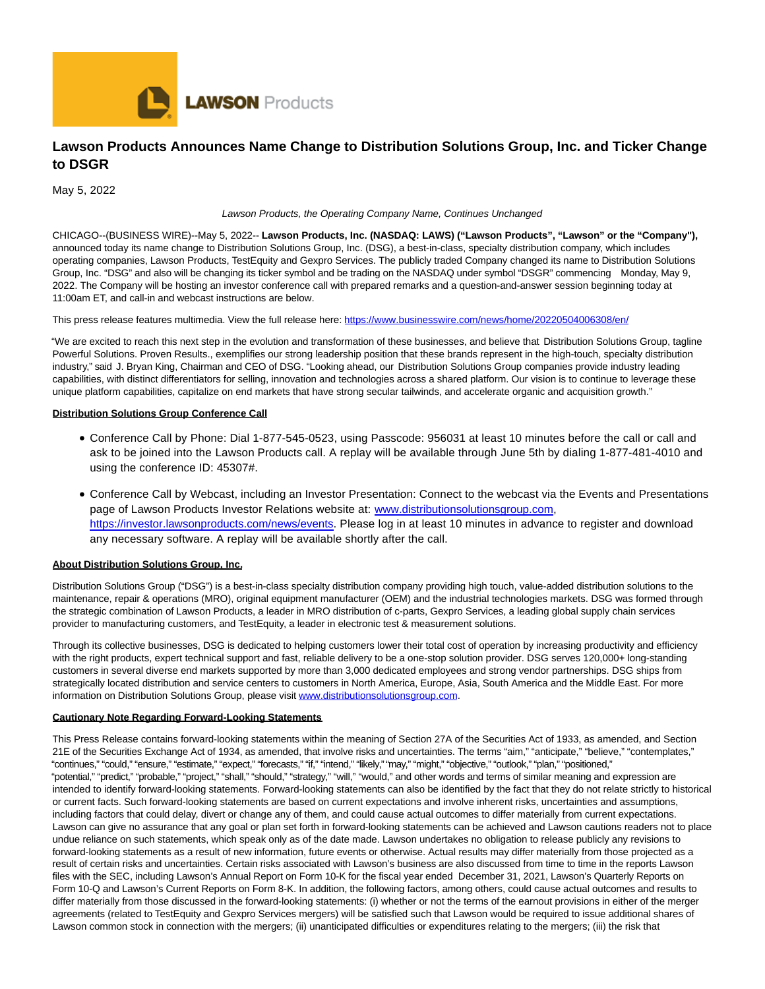

# **Lawson Products Announces Name Change to Distribution Solutions Group, Inc. and Ticker Change to DSGR**

May 5, 2022

Lawson Products, the Operating Company Name, Continues Unchanged

CHICAGO--(BUSINESS WIRE)--May 5, 2022-- **Lawson Products, Inc. (NASDAQ: LAWS) ("Lawson Products", "Lawson" or the "Company"),** announced today its name change to Distribution Solutions Group, Inc. (DSG), a best-in-class, specialty distribution company, which includes operating companies, Lawson Products, TestEquity and Gexpro Services. The publicly traded Company changed its name to Distribution Solutions Group, Inc. "DSG" and also will be changing its ticker symbol and be trading on the NASDAQ under symbol "DSGR" commencing Monday, May 9, 2022. The Company will be hosting an investor conference call with prepared remarks and a question-and-answer session beginning today at 11:00am ET, and call-in and webcast instructions are below.

This press release features multimedia. View the full release here:<https://www.businesswire.com/news/home/20220504006308/en/>

"We are excited to reach this next step in the evolution and transformation of these businesses, and believe that Distribution Solutions Group, tagline Powerful Solutions. Proven Results., exemplifies our strong leadership position that these brands represent in the high-touch, specialty distribution industry," said J. Bryan King, Chairman and CEO of DSG. "Looking ahead, our Distribution Solutions Group companies provide industry leading capabilities, with distinct differentiators for selling, innovation and technologies across a shared platform. Our vision is to continue to leverage these unique platform capabilities, capitalize on end markets that have strong secular tailwinds, and accelerate organic and acquisition growth."

#### **Distribution Solutions Group Conference Call**

- Conference Call by Phone: Dial 1-877-545-0523, using Passcode: 956031 at least 10 minutes before the call or call and ask to be joined into the Lawson Products call. A replay will be available through June 5th by dialing 1-877-481-4010 and using the conference ID: 45307#.
- Conference Call by Webcast, including an Investor Presentation: Connect to the webcast via the Events and Presentations page of Lawson Products Investor Relations website at: [www.distributionsolutionsgroup.com,](https://cts.businesswire.com/ct/CT?id=smartlink&url=http%3A%2F%2Fwww.distributionsolutionsgroup.com&esheet=52708819&newsitemid=20220504006308&lan=en-US&anchor=www.distributionsolutionsgroup.com&index=1&md5=ba069fdd8b094cc0c271cc62af7e9894) [https://investor.lawsonproducts.com/news/events.](https://cts.businesswire.com/ct/CT?id=smartlink&url=https%3A%2F%2Finvestor.lawsonproducts.com%2Fnews%2Fevents&esheet=52708819&newsitemid=20220504006308&lan=en-US&anchor=https%3A%2F%2Finvestor.lawsonproducts.com%2Fnews%2Fevents&index=2&md5=fdc4f64dd31d20f57e6ae7ff30a00457) Please log in at least 10 minutes in advance to register and download any necessary software. A replay will be available shortly after the call.

### **About Distribution Solutions Group, Inc.**

Distribution Solutions Group ("DSG") is a best-in-class specialty distribution company providing high touch, value-added distribution solutions to the maintenance, repair & operations (MRO), original equipment manufacturer (OEM) and the industrial technologies markets. DSG was formed through the strategic combination of Lawson Products, a leader in MRO distribution of c-parts, Gexpro Services, a leading global supply chain services provider to manufacturing customers, and TestEquity, a leader in electronic test & measurement solutions.

Through its collective businesses, DSG is dedicated to helping customers lower their total cost of operation by increasing productivity and efficiency with the right products, expert technical support and fast, reliable delivery to be a one-stop solution provider. DSG serves 120,000+ long-standing customers in several diverse end markets supported by more than 3,000 dedicated employees and strong vendor partnerships. DSG ships from strategically located distribution and service centers to customers in North America, Europe, Asia, South America and the Middle East. For more information on Distribution Solutions Group, please visi[t www.distributionsolutionsgroup.com.](https://cts.businesswire.com/ct/CT?id=smartlink&url=http%3A%2F%2Fwww.distributionsolutionsgroup.com&esheet=52708819&newsitemid=20220504006308&lan=en-US&anchor=www.distributionsolutionsgroup.com&index=3&md5=c32314be1d85decb202cda590ab627c6)

#### **Cautionary Note Regarding Forward-Looking Statements**

This Press Release contains forward-looking statements within the meaning of Section 27A of the Securities Act of 1933, as amended, and Section 21E of the Securities Exchange Act of 1934, as amended, that involve risks and uncertainties. The terms "aim," "anticipate," "believe," "contemplates," "continues," "could," "ensure," "estimate," "expect," "forecasts," "if," "intend," "likely," "may," "might," "objective," "outlook," "plan," "positioned," "potential," "predict," "probable," "project," "shall," "should," "strategy," "will," "would," and other words and terms of similar meaning and expression are intended to identify forward-looking statements. Forward-looking statements can also be identified by the fact that they do not relate strictly to historical or current facts. Such forward-looking statements are based on current expectations and involve inherent risks, uncertainties and assumptions, including factors that could delay, divert or change any of them, and could cause actual outcomes to differ materially from current expectations. Lawson can give no assurance that any goal or plan set forth in forward-looking statements can be achieved and Lawson cautions readers not to place undue reliance on such statements, which speak only as of the date made. Lawson undertakes no obligation to release publicly any revisions to forward-looking statements as a result of new information, future events or otherwise. Actual results may differ materially from those projected as a result of certain risks and uncertainties. Certain risks associated with Lawson's business are also discussed from time to time in the reports Lawson files with the SEC, including Lawson's Annual Report on Form 10-K for the fiscal year ended December 31, 2021, Lawson's Quarterly Reports on Form 10-Q and Lawson's Current Reports on Form 8-K. In addition, the following factors, among others, could cause actual outcomes and results to differ materially from those discussed in the forward-looking statements: (i) whether or not the terms of the earnout provisions in either of the merger agreements (related to TestEquity and Gexpro Services mergers) will be satisfied such that Lawson would be required to issue additional shares of Lawson common stock in connection with the mergers; (ii) unanticipated difficulties or expenditures relating to the mergers; (iii) the risk that